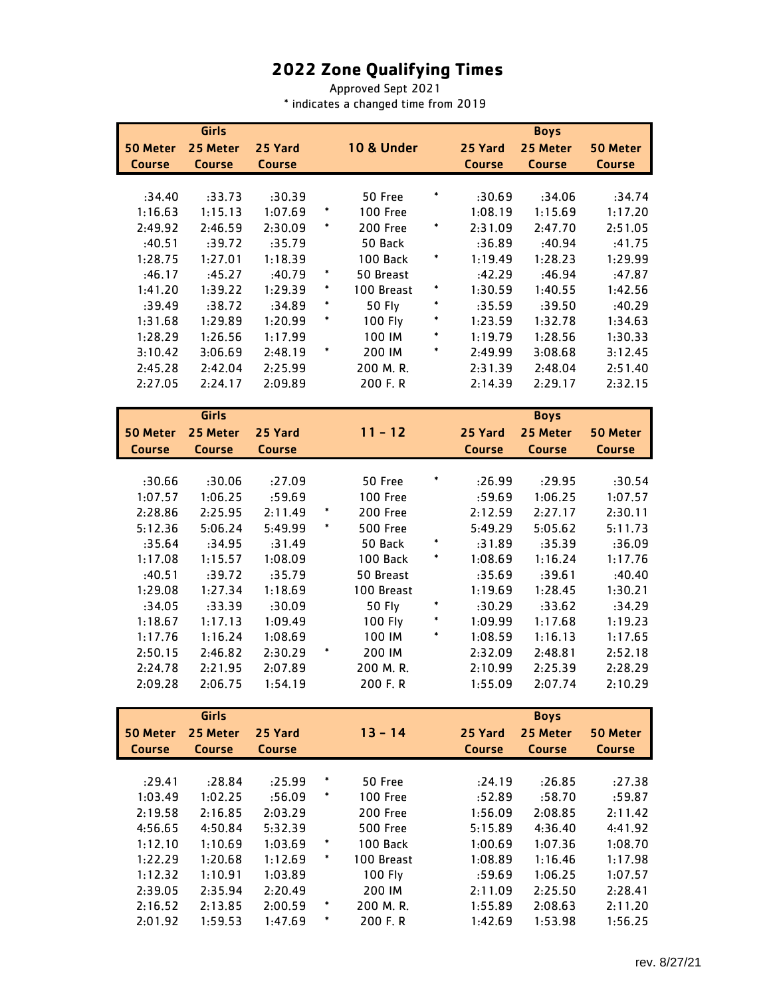## **2022 Zone Qualifying Times**

Approved Sept 2021 \* indicates a changed time from 2019

|                    | Girls              |                    |        |                        |        |               | <b>Boys</b>        |               |
|--------------------|--------------------|--------------------|--------|------------------------|--------|---------------|--------------------|---------------|
| 50 Meter           | 25 Meter           | 25 Yard            |        | <b>10 &amp; Under</b>  |        | 25 Yard       | 25 Meter           | 50 Meter      |
| <b>Course</b>      | <b>Course</b>      | <b>Course</b>      |        |                        |        | <b>Course</b> | <b>Course</b>      | <b>Course</b> |
|                    |                    |                    |        |                        |        |               |                    |               |
| :34.40             | :33.73             | :30.39             |        | 50 Free                | $\ast$ | :30.69        | :34.06             | :34.74        |
| 1:16.63            | 1:15.13            | 1:07.69            | $\ast$ | <b>100 Free</b>        |        | 1:08.19       | 1:15.69            | 1:17.20       |
| 2:49.92            | 2:46.59            | 2:30.09            |        | 200 Free               | $\ast$ | 2:31.09       | 2:47.70            | 2:51.05       |
| :40.51             | :39.72             | :35.79             |        | 50 Back                |        | :36.89        | :40.94             | :41.75        |
| 1:28.75            | 1:27.01            | 1:18.39            |        | 100 Back               | $\ast$ | 1:19.49       | 1:28.23            | 1:29.99       |
| :46.17             | :45.27             | :40.79             |        | 50 Breast              |        | :42.29        | :46.94             | :47.87        |
| 1:41.20            | 1:39.22            | 1:29.39            |        | 100 Breast             | $\ast$ | 1:30.59       | 1:40.55            | 1:42.56       |
| :39.49             | :38.72             | :34.89             |        | <b>50 Fly</b>          |        | :35.59        | :39.50             | :40.29        |
| 1:31.68            | 1:29.89            | 1:20.99            |        | 100 Fly                |        | 1:23.59       | 1:32.78            | 1:34.63       |
| 1:28.29            | 1:26.56            | 1:17.99            |        | 100 IM                 | *      | 1:19.79       | 1:28.56            | 1:30.33       |
| 3:10.42            | 3:06.69            | 2:48.19            |        | 200 IM                 |        | 2:49.99       | 3:08.68            | 3:12.45       |
| 2:45.28            | 2:42.04            | 2:25.99            |        | 200 M.R.               |        | 2:31.39       | 2:48.04            | 2:51.40       |
| 2:27.05            | 2:24.17            | 2:09.89            |        | 200 F.R                |        | 2:14.39       | 2:29.17            | 2:32.15       |
|                    | Girls              |                    |        |                        |        |               | <b>Boys</b>        |               |
| <b>50 Meter</b>    | 25 Meter           | 25 Yard            |        | $11 - 12$              |        | 25 Yard       | 25 Meter           |               |
|                    |                    |                    |        |                        |        | <b>Course</b> |                    | 50 Meter      |
| <b>Course</b>      | <b>Course</b>      | <b>Course</b>      |        |                        |        |               | <b>Course</b>      | <b>Course</b> |
| :30.66             | :30.06             | :27.09             |        | 50 Free                | *      | :26.99        | :29.95             | :30.54        |
| 1:07.57            | 1:06.25            | :59.69             |        | <b>100 Free</b>        |        | :59.69        | 1:06.25            | 1:07.57       |
| 2:28.86            | 2:25.95            | 2:11.49            | *      | 200 Free               |        | 2:12.59       | 2:27.17            | 2:30.11       |
| 5:12.36            | 5:06.24            | 5:49.99            | *      | <b>500 Free</b>        |        | 5:49.29       | 5:05.62            | 5:11.73       |
| :35.64             | :34.95             | :31.49             |        | 50 Back                | $\ast$ | :31.89        | :35.39             | :36.09        |
| 1:17.08            | 1:15.57            | 1:08.09            |        | 100 Back               | $\ast$ | 1:08.69       | 1:16.24            | 1:17.76       |
| :40.51             | :39.72             | :35.79             |        | 50 Breast              |        | :35.69        | :39.61             | :40.40        |
| 1:29.08            | 1:27.34            | 1:18.69            |        | 100 Breast             |        | 1:19.69       | 1:28.45            | 1:30.21       |
| :34.05             | :33.39             | :30.09             |        | <b>50 Fly</b>          |        | :30.29        | :33.62             | :34.29        |
| 1:18.67            | 1:17.13            | 1:09.49            |        | 100 Fly                |        | 1:09.99       | 1:17.68            | 1:19.23       |
| 1:17.76            | 1:16.24            | 1:08.69            |        | 100 IM                 |        | 1:08.59       | 1:16.13            | 1:17.65       |
| 2:50.15            | 2:46.82            | 2:30.29            |        | 200 IM                 |        | 2:32.09       | 2:48.81            | 2:52.18       |
| 2:24.78            | 2:21.95            | 2:07.89            |        | 200 M.R.               |        | 2:10.99       | 2:25.39            | 2:28.29       |
| 2:09.28            | 2:06.75            | 1:54.19            |        | 200 F. R               |        | 1:55.09       | 2:07.74            | 2:10.29       |
|                    |                    |                    |        |                        |        |               |                    |               |
|                    | Girls              |                    |        |                        |        |               | <b>Boys</b>        |               |
| 50 Meter           | 25 Meter           | 25 Yard            |        | $13 - 14$              |        | 25 Yard       | 25 Meter           | 50 Meter      |
| <b>Course</b>      | <b>Course</b>      | <b>Course</b>      |        |                        |        | <b>Course</b> | <b>Course</b>      | <b>Course</b> |
|                    |                    |                    |        |                        |        |               |                    |               |
| :29.41             | :28.84             | :25.99             |        | 50 Free                |        | :24.19        | :26.85             | :27.38        |
| 1:03.49            | 1:02.25            | :56.09             |        | <b>100 Free</b>        |        | :52.89        | :58.70             | :59.87        |
| 2:19.58            | 2:16.85            | 2:03.29            |        | 200 Free               |        | 1:56.09       | 2:08.85            | 2:11.42       |
| 4:56.65            | 4:50.84            | 5:32.39            |        | <b>500 Free</b>        |        | 5:15.89       | 4:36.40            | 4:41.92       |
| 1:12.10            | 1:10.69            | 1:03.69            |        | 100 Back<br>100 Breast |        | 1:00.69       | 1:07.36            | 1:08.70       |
| 1:22.29            | 1:20.68            | 1:12.69            |        |                        |        | 1:08.89       | 1:16.46            | 1:17.98       |
| 1:12.32            | 1:10.91            | 1:03.89            |        | 100 Fly<br>200 IM      |        | :59.69        | 1:06.25            | 1:07.57       |
| 2:39.05<br>2:16.52 | 2:35.94<br>2:13.85 | 2:20.49<br>2:00.59 | *      | 200 M.R.               |        | 2:11.09       | 2:25.50<br>2:08.63 | 2:28.41       |
|                    |                    |                    | *      |                        |        | 1:55.89       |                    | 2:11.20       |
| 2:01.92            | 1:59.53            | 1:47.69            |        | 200 F.R                |        | 1:42.69       | 1:53.98            | 1:56.25       |